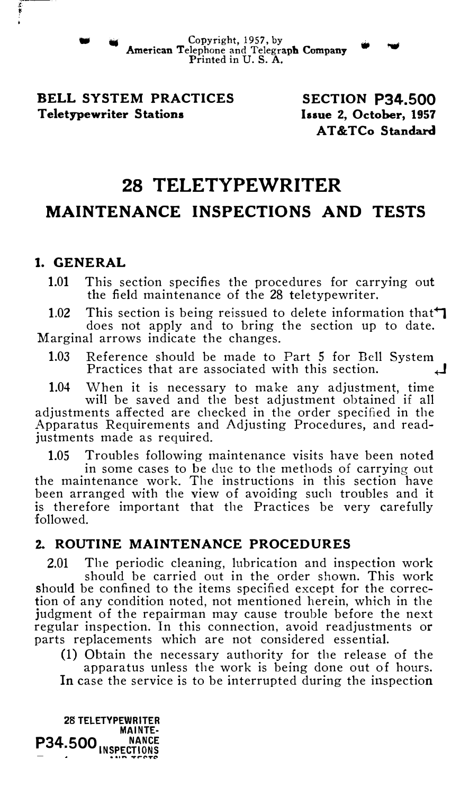• • Copyright, 1957, by American Telephone and Telegraph Company • 'WI Printed in U.S. A.

## BELL SYSTEM PRACTICES Teletypewriter Stations

SECTION P34.500 Issue 2, October, 1957 AT&TCo Standard

# 28 TELETYPEWRITER

## MAINTENANCE INSPECTIONS AND TESTS

## I. GENERAL

1.01 This section specifies the procedures for carrying out the field maintenance of the 28 teletypewriter.

1.02 This section is being reissued to delete information that  $\mathbf{\mathcal{L}}$ does not apply and to bring the section up to date. Marginal arrows indicate the changes.

1.03 Reference should be made to Part 5 for Bell System Practices that are associated with this section.  $\Box$ 

1.04 When it is necessary to make any adjustment, time will be saved and the best adjustment obtained if all adjustments affected are checked in the order specified in the Apparatus Requirements and Adjusting Procedures, and readjustments made as required.

1.05 Troubles following maintenance visits have been noted

in some cases to be due to the methods of carrying out the maintenance work. The instructions in this section have been arranged with the view of avoiding such troubles and it is therefore important that the Practices be very carefully followed.

## 2. ROUTINE MAINTENANCE PROCEDURES

2.01 The periodic cleaning, lubrication and inspection work

should be carried out in the order shown. This work should be confined to the items specified except for the correction of any condition noted, not mentioned herein, which in the judgment of the repairman may cause trouble before the next regular inspection. In this connection, avoid readjustments or parts replacements which are not considered essential.

(1) Obtain the necessary authority for the release of the apparatus unless the work is being done out of hours. In case the service is to be interrupted during the inspection

28 TELETYPEWRITER MAINTE- $P<sub>34.500</sub>$   $<sub>INSPECT10NS</sub>$ </sub>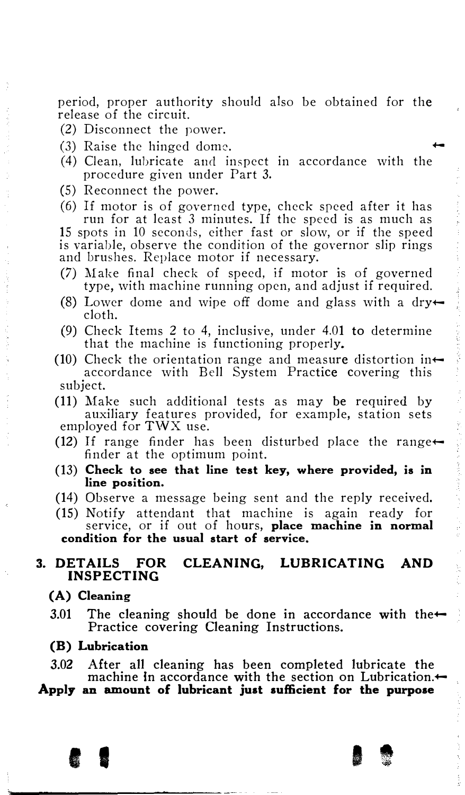period, proper authority should also be obtained for the release of the circuit.

- (2) Disconnect the power.
- $(3)$  Raise the hinged dome.
- $(4)$  Clean, lubricate and inspect in accordance with the procedure given under Part 3.
- (5) Reconnect the power.
- (6) If motor is of governed type, check speed after it has run for at least 3 minutes. If the speed is as much as 15 spots in 10 seconds, either fast or slow, or if the speed

is variable, observe the condition of the governor slip rings and brushes. Replace motor if necessary.

- (7) Make final check of speed, if motor is of governed type, with machine running open, and adjust if required.
- (8) Lower dome and wipe off dome and glass with a dry $\leftarrow$ cloth.
- (9) Check Items 2 to 4, inclusive, under 4.01 to determine that the machine is functioning properly.
- (10) Check the orientation range and measure distortion inaccordance with Bell System Practice covering this subject.
- (11) Make such additional tests as may be required by auxiliary features provided, for example, station sets employed for TWX use.
- (12) If range finder has been disturbed place the range $\leftarrow$ finder at the optimum point.
- (13) Check to see that line test key, where provided, is in line position.
- (14) Observe a message being sent and the reply received.
- (15) Notify attendant that machine is again ready for service, or if out of hours, place machine in normal condition for the usual start of service.

#### 3. DETAILS FOR CLEANING, LUBRICATING AND INSPECTING

#### (A) Cleaning

3.01 The cleaning should be done in accordance with the $\leftarrow$ Practice covering Cleaning Instructions.

#### (B) Lubrication

- 3.02 After all cleaning has been completed lubricate the machine in accordance with the section on Lubrication.
- Apply an amount of lubricant just sufficient for the purpose

I I I t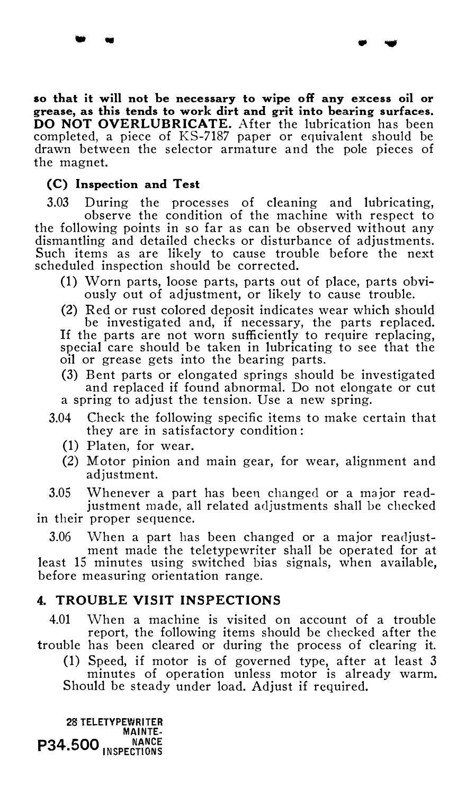so that it will not be necessary to wipe off any excess oil or grease, as this tends to work dirt and grit into bearing surfaces. DO NOT OVERLUBRICATE. After the lubrication has been completed, a piece of KS-7187 paper or equivalent should be drawn between the selector armature and the pole pieces of the magnet.

where  $\mathbf{w}$ 

#### (C) Inspection and Test

3.03 During the processes of cleaning and lubricating, observe the condition of the machine with respect to the following points in so far as can be observed without any dismantling and detailed checks or disturbance of adjustments. Such items as are likely to cause trouble before the next scheduled inspection should be corrected.

- (1) Worn parts, loose parts, parts out of place, parts obviously out of adjustment, or likely to cause trouble.
- (2) Red or rust colored deposit indicates wear which should be investigated and, if necessary, the parts replaced. If the parts are not worn sufficiently to require replacing, special care should be taken in lubricating to see that the oil or grease gets into the bearing parts.
- (3) Bent parts or elongated springs should be investigated and replaced if found abnormal. Do not elongate or cut a spring to adjust the tension. Use a new spring.
- 3.04 Check the following specific items to make certain that they are in satisfactory condition:
	- (1) Platen, for wear.
	- (2) Motor pinion and main gear, for wear, alignment and adjustment.

3.05 Whenever a part has been changed or a major readjustment made, all related adjustments shall be checked

in their proper sequence.

 $3.06$  When a part has been changed or a major readjustment made the teletypewriter shall be operated for at least 15 minutes using switched bias signals, when available, before measuring orientation range.

## 4. TROUBLE VISIT INSPECTIONS

4.01 When a machine is visited on account of a trouble report, the following items should be checked after the

trouble has been cleared or during the process of clearing it. (1) Speed, if motor is of governed type, after at least 3 minutes of operation unless motor is already warm.

Should be steady under load. Adjust if required.

28 TELETYPEWRITER MAINTE-P34.500 INSPECTIONS